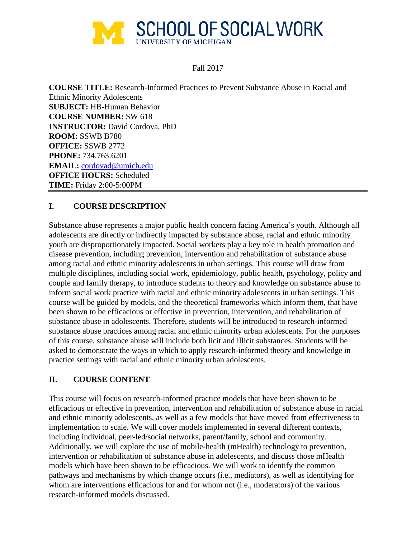

Fall 2017

**COURSE TITLE:** Research-Informed Practices to Prevent Substance Abuse in Racial and Ethnic Minority Adolescents **SUBJECT:** HB-Human Behavior **COURSE NUMBER:** SW 618 **INSTRUCTOR:** David Cordova, PhD **ROOM:** SSWB B780 **OFFICE:** SSWB 2772 **PHONE:** 734.763.6201 **EMAIL:** [cordovad@umich.edu](mailto:cordovad@umich.edu) **OFFICE HOURS:** Scheduled **TIME:** Friday 2:00-5:00PM

# **I. COURSE DESCRIPTION**

Substance abuse represents a major public health concern facing America's youth. Although all adolescents are directly or indirectly impacted by substance abuse, racial and ethnic minority youth are disproportionately impacted. Social workers play a key role in health promotion and disease prevention, including prevention, intervention and rehabilitation of substance abuse among racial and ethnic minority adolescents in urban settings. This course will draw from multiple disciplines, including social work, epidemiology, public health, psychology, policy and couple and family therapy, to introduce students to theory and knowledge on substance abuse to inform social work practice with racial and ethnic minority adolescents in urban settings. This course will be guided by models, and the theoretical frameworks which inform them, that have been shown to be efficacious or effective in prevention, intervention, and rehabilitation of substance abuse in adolescents. Therefore, students will be introduced to research-informed substance abuse practices among racial and ethnic minority urban adolescents. For the purposes of this course, substance abuse will include both licit and illicit substances. Students will be asked to demonstrate the ways in which to apply research-informed theory and knowledge in practice settings with racial and ethnic minority urban adolescents.

## **II. COURSE CONTENT**

This course will focus on research-informed practice models that have been shown to be efficacious or effective in prevention, intervention and rehabilitation of substance abuse in racial and ethnic minority adolescents, as well as a few models that have moved from effectiveness to implementation to scale. We will cover models implemented in several different contexts, including individual, peer-led/social networks, parent/family, school and community. Additionally, we will explore the use of mobile-health (mHealth) technology to prevention, intervention or rehabilitation of substance abuse in adolescents, and discuss those mHealth models which have been shown to be efficacious. We will work to identify the common pathways and mechanisms by which change occurs (i.e., mediators), as well as identifying for whom are interventions efficacious for and for whom not (i.e., moderators) of the various research-informed models discussed.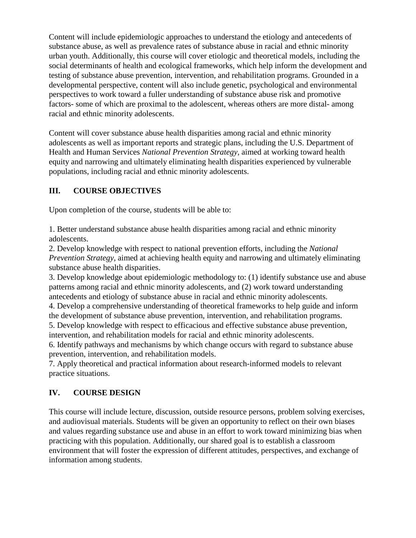Content will include epidemiologic approaches to understand the etiology and antecedents of substance abuse, as well as prevalence rates of substance abuse in racial and ethnic minority urban youth. Additionally, this course will cover etiologic and theoretical models, including the social determinants of health and ecological frameworks, which help inform the development and testing of substance abuse prevention, intervention, and rehabilitation programs. Grounded in a developmental perspective, content will also include genetic, psychological and environmental perspectives to work toward a fuller understanding of substance abuse risk and promotive factors- some of which are proximal to the adolescent, whereas others are more distal- among racial and ethnic minority adolescents.

Content will cover substance abuse health disparities among racial and ethnic minority adolescents as well as important reports and strategic plans, including the U.S. Department of Health and Human Services *National Prevention Strategy*, aimed at working toward health equity and narrowing and ultimately eliminating health disparities experienced by vulnerable populations, including racial and ethnic minority adolescents.

# **III. COURSE OBJECTIVES**

Upon completion of the course, students will be able to:

1. Better understand substance abuse health disparities among racial and ethnic minority adolescents.

2. Develop knowledge with respect to national prevention efforts, including the *National Prevention Strategy*, aimed at achieving health equity and narrowing and ultimately eliminating substance abuse health disparities.

3. Develop knowledge about epidemiologic methodology to: (1) identify substance use and abuse patterns among racial and ethnic minority adolescents, and (2) work toward understanding antecedents and etiology of substance abuse in racial and ethnic minority adolescents.

4. Develop a comprehensive understanding of theoretical frameworks to help guide and inform the development of substance abuse prevention, intervention, and rehabilitation programs.

5. Develop knowledge with respect to efficacious and effective substance abuse prevention, intervention, and rehabilitation models for racial and ethnic minority adolescents.

6. Identify pathways and mechanisms by which change occurs with regard to substance abuse prevention, intervention, and rehabilitation models.

7. Apply theoretical and practical information about research-informed models to relevant practice situations.

# **IV. COURSE DESIGN**

This course will include lecture, discussion, outside resource persons, problem solving exercises, and audiovisual materials. Students will be given an opportunity to reflect on their own biases and values regarding substance use and abuse in an effort to work toward minimizing bias when practicing with this population. Additionally, our shared goal is to establish a classroom environment that will foster the expression of different attitudes, perspectives, and exchange of information among students.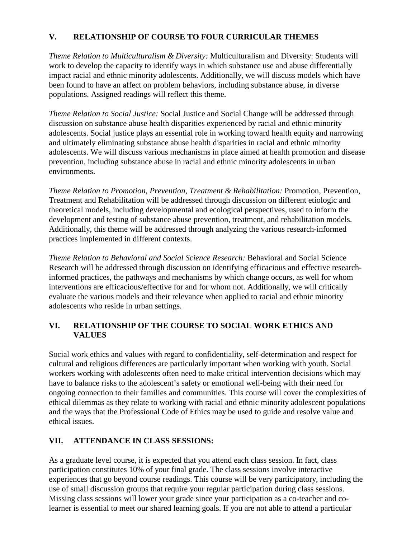# **V. RELATIONSHIP OF COURSE TO FOUR CURRICULAR THEMES**

*Theme Relation to Multiculturalism & Diversity:* Multiculturalism and Diversity: Students will work to develop the capacity to identify ways in which substance use and abuse differentially impact racial and ethnic minority adolescents. Additionally, we will discuss models which have been found to have an affect on problem behaviors, including substance abuse, in diverse populations. Assigned readings will reflect this theme.

*Theme Relation to Social Justice:* Social Justice and Social Change will be addressed through discussion on substance abuse health disparities experienced by racial and ethnic minority adolescents. Social justice plays an essential role in working toward health equity and narrowing and ultimately eliminating substance abuse health disparities in racial and ethnic minority adolescents. We will discuss various mechanisms in place aimed at health promotion and disease prevention, including substance abuse in racial and ethnic minority adolescents in urban environments.

*Theme Relation to Promotion, Prevention, Treatment & Rehabilitation:* Promotion, Prevention, Treatment and Rehabilitation will be addressed through discussion on different etiologic and theoretical models, including developmental and ecological perspectives, used to inform the development and testing of substance abuse prevention, treatment, and rehabilitation models. Additionally, this theme will be addressed through analyzing the various research-informed practices implemented in different contexts.

*Theme Relation to Behavioral and Social Science Research:* Behavioral and Social Science Research will be addressed through discussion on identifying efficacious and effective researchinformed practices, the pathways and mechanisms by which change occurs, as well for whom interventions are efficacious/effective for and for whom not. Additionally, we will critically evaluate the various models and their relevance when applied to racial and ethnic minority adolescents who reside in urban settings.

# **VI. RELATIONSHIP OF THE COURSE TO SOCIAL WORK ETHICS AND VALUES**

Social work ethics and values with regard to confidentiality, self-determination and respect for cultural and religious differences are particularly important when working with youth. Social workers working with adolescents often need to make critical intervention decisions which may have to balance risks to the adolescent's safety or emotional well-being with their need for ongoing connection to their families and communities. This course will cover the complexities of ethical dilemmas as they relate to working with racial and ethnic minority adolescent populations and the ways that the Professional Code of Ethics may be used to guide and resolve value and ethical issues.

## **VII. ATTENDANCE IN CLASS SESSIONS:**

As a graduate level course, it is expected that you attend each class session. In fact, class participation constitutes 10% of your final grade. The class sessions involve interactive experiences that go beyond course readings. This course will be very participatory, including the use of small discussion groups that require your regular participation during class sessions. Missing class sessions will lower your grade since your participation as a co-teacher and colearner is essential to meet our shared learning goals. If you are not able to attend a particular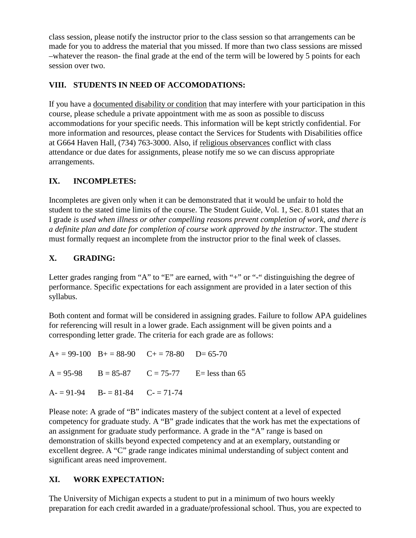class session, please notify the instructor prior to the class session so that arrangements can be made for you to address the material that you missed. If more than two class sessions are missed –whatever the reason- the final grade at the end of the term will be lowered by 5 points for each session over two.

# **VIII. STUDENTS IN NEED OF ACCOMODATIONS:**

If you have a documented disability or condition that may interfere with your participation in this course, please schedule a private appointment with me as soon as possible to discuss accommodations for your specific needs. This information will be kept strictly confidential. For more information and resources, please contact the Services for Students with Disabilities office at G664 Haven Hall, (734) 763-3000. Also, if religious observances conflict with class attendance or due dates for assignments, please notify me so we can discuss appropriate arrangements.

# **IX. INCOMPLETES:**

Incompletes are given only when it can be demonstrated that it would be unfair to hold the student to the stated time limits of the course. The Student Guide, Vol. 1, Sec. 8.01 states that an I grade *is used when illness or other compelling reasons prevent completion of work, and there is a definite plan and date for completion of course work approved by the instructor*. The student must formally request an incomplete from the instructor prior to the final week of classes.

# **X. GRADING:**

Letter grades ranging from "A" to "E" are earned, with "+" or "-" distinguishing the degree of performance. Specific expectations for each assignment are provided in a later section of this syllabus.

Both content and format will be considered in assigning grades. Failure to follow APA guidelines for referencing will result in a lower grade. Each assignment will be given points and a corresponding letter grade. The criteria for each grade are as follows:

 $A+= 99-100$   $B+= 88-90$   $C+= 78-80$   $D= 65-70$  $A = 95-98$  B = 85-87 C = 75-77 E= less than 65  $A = 91-94$   $B = 81-84$   $C = 71-74$ 

Please note: A grade of "B" indicates mastery of the subject content at a level of expected competency for graduate study. A "B" grade indicates that the work has met the expectations of an assignment for graduate study performance. A grade in the "A" range is based on demonstration of skills beyond expected competency and at an exemplary, outstanding or excellent degree. A "C" grade range indicates minimal understanding of subject content and significant areas need improvement.

## **XI. WORK EXPECTATION:**

The University of Michigan expects a student to put in a minimum of two hours weekly preparation for each credit awarded in a graduate/professional school. Thus, you are expected to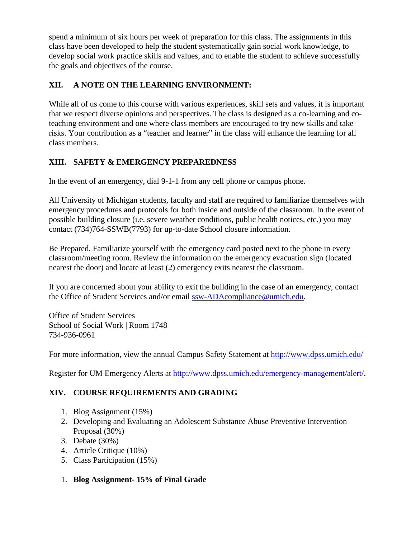spend a minimum of six hours per week of preparation for this class. The assignments in this class have been developed to help the student systematically gain social work knowledge, to develop social work practice skills and values, and to enable the student to achieve successfully the goals and objectives of the course.

# **XII. A NOTE ON THE LEARNING ENVIRONMENT:**

While all of us come to this course with various experiences, skill sets and values, it is important that we respect diverse opinions and perspectives. The class is designed as a co-learning and coteaching environment and one where class members are encouraged to try new skills and take risks. Your contribution as a "teacher and learner" in the class will enhance the learning for all class members.

# **XIII. SAFETY & EMERGENCY PREPAREDNESS**

In the event of an emergency, dial 9-1-1 from any cell phone or campus phone.

All University of Michigan students, faculty and staff are required to familiarize themselves with emergency procedures and protocols for both inside and outside of the classroom. In the event of possible building closure (i.e. severe weather conditions, public health notices, etc.) you may contact (734)764-SSWB(7793) for up-to-date School closure information.

Be Prepared. Familiarize yourself with the emergency card posted next to the phone in every classroom/meeting room. Review the information on the emergency evacuation sign (located nearest the door) and locate at least (2) emergency exits nearest the classroom.

If you are concerned about your ability to exit the building in the case of an emergency, contact the Office of Student Services and/or email [ssw-ADAcompliance@umich.edu.](mailto:ssw-ADAcompliance@umich.edu)

Office of Student Services School of Social Work | Room 1748 734-936-0961

For more information, view the annual Campus Safety Statement at<http://www.dpss.umich.edu/>

Register for UM Emergency Alerts at [http://www.dpss.umich.edu/emergency-management/alert/.](http://www.dpss.umich.edu/emergency-management/alert/)

# **XIV. COURSE REQUIREMENTS AND GRADING**

- 1. Blog Assignment (15%)
- 2. Developing and Evaluating an Adolescent Substance Abuse Preventive Intervention Proposal (30%)
- 3. Debate (30%)
- 4. Article Critique (10%)
- 5. Class Participation (15%)
- 1. **Blog Assignment- 15% of Final Grade**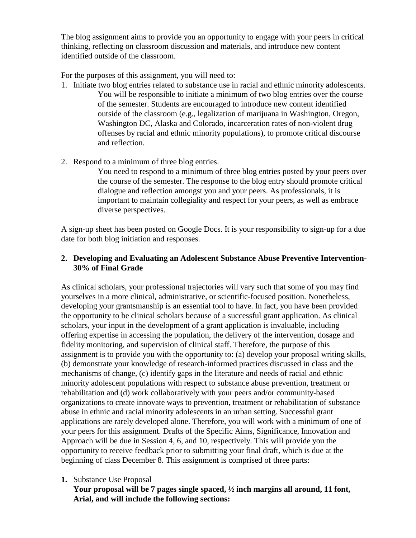The blog assignment aims to provide you an opportunity to engage with your peers in critical thinking, reflecting on classroom discussion and materials, and introduce new content identified outside of the classroom.

For the purposes of this assignment, you will need to:

- 1. Initiate two blog entries related to substance use in racial and ethnic minority adolescents. You will be responsible to initiate a minimum of two blog entries over the course of the semester. Students are encouraged to introduce new content identified outside of the classroom (e.g., legalization of marijuana in Washington, Oregon, Washington DC, Alaska and Colorado, incarceration rates of non-violent drug offenses by racial and ethnic minority populations), to promote critical discourse and reflection.
- 2. Respond to a minimum of three blog entries.

You need to respond to a minimum of three blog entries posted by your peers over the course of the semester. The response to the blog entry should promote critical dialogue and reflection amongst you and your peers. As professionals, it is important to maintain collegiality and respect for your peers, as well as embrace diverse perspectives.

A sign-up sheet has been posted on Google Docs. It is your responsibility to sign-up for a due date for both blog initiation and responses.

# **2. Developing and Evaluating an Adolescent Substance Abuse Preventive Intervention-30% of Final Grade**

As clinical scholars, your professional trajectories will vary such that some of you may find yourselves in a more clinical, administrative, or scientific-focused position. Nonetheless, developing your grantsmanship is an essential tool to have. In fact, you have been provided the opportunity to be clinical scholars because of a successful grant application. As clinical scholars, your input in the development of a grant application is invaluable, including offering expertise in accessing the population, the delivery of the intervention, dosage and fidelity monitoring, and supervision of clinical staff. Therefore, the purpose of this assignment is to provide you with the opportunity to: (a) develop your proposal writing skills, (b) demonstrate your knowledge of research-informed practices discussed in class and the mechanisms of change, (c) identify gaps in the literature and needs of racial and ethnic minority adolescent populations with respect to substance abuse prevention, treatment or rehabilitation and (d) work collaboratively with your peers and/or community-based organizations to create innovate ways to prevention, treatment or rehabilitation of substance abuse in ethnic and racial minority adolescents in an urban setting. Successful grant applications are rarely developed alone. Therefore, you will work with a minimum of one of your peers for this assignment. Drafts of the Specific Aims, Significance, Innovation and Approach will be due in Session 4, 6, and 10, respectively. This will provide you the opportunity to receive feedback prior to submitting your final draft, which is due at the beginning of class December 8. This assignment is comprised of three parts:

## **1.** Substance Use Proposal

**Your proposal will be 7 pages single spaced, ½ inch margins all around, 11 font, Arial, and will include the following sections:**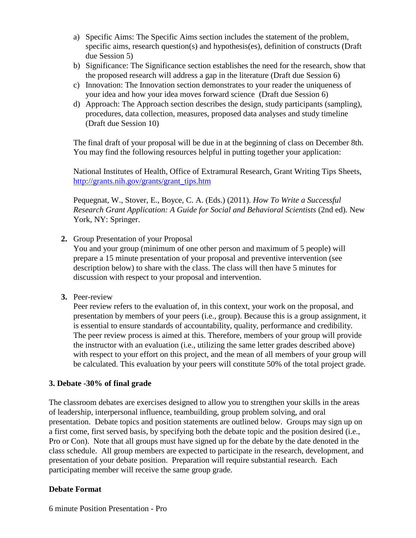- a) Specific Aims: The Specific Aims section includes the statement of the problem, specific aims, research question(s) and hypothesis(es), definition of constructs (Draft due Session 5)
- b) Significance: The Significance section establishes the need for the research, show that the proposed research will address a gap in the literature (Draft due Session 6)
- c) Innovation: The Innovation section demonstrates to your reader the uniqueness of your idea and how your idea moves forward science (Draft due Session 6)
- d) Approach: The Approach section describes the design, study participants (sampling), procedures, data collection, measures, proposed data analyses and study timeline (Draft due Session 10)

The final draft of your proposal will be due in at the beginning of class on December 8th. You may find the following resources helpful in putting together your application:

National Institutes of Health, Office of Extramural Research, Grant Writing Tips Sheets, [http://grants.nih.gov/grants/grant\\_tips.htm](http://grants.nih.gov/grants/grant_tips.htm)

Pequegnat, W., Stover, E., Boyce, C. A. (Eds.) (2011). *How To Write a Successful Research Grant Application: A Guide for Social and Behavioral Scientists* (2nd ed). New York, NY: Springer.

**2.** Group Presentation of your Proposal

You and your group (minimum of one other person and maximum of 5 people) will prepare a 15 minute presentation of your proposal and preventive intervention (see description below) to share with the class. The class will then have 5 minutes for discussion with respect to your proposal and intervention.

**3.** Peer-review

Peer review refers to the evaluation of, in this context, your work on the proposal, and presentation by members of your peers (i.e., group). Because this is a group assignment, it is essential to ensure standards of accountability, quality, performance and credibility. The peer review process is aimed at this. Therefore, members of your group will provide the instructor with an evaluation (i.e., utilizing the same letter grades described above) with respect to your effort on this project, and the mean of all members of your group will be calculated. This evaluation by your peers will constitute 50% of the total project grade.

## **3. Debate -30% of final grade**

The classroom debates are exercises designed to allow you to strengthen your skills in the areas of leadership, interpersonal influence, teambuilding, group problem solving, and oral presentation. Debate topics and position statements are outlined below. Groups may sign up on a first come, first served basis, by specifying both the debate topic and the position desired (i.e., Pro or Con). Note that all groups must have signed up for the debate by the date denoted in the class schedule. All group members are expected to participate in the research, development, and presentation of your debate position. Preparation will require substantial research. Each participating member will receive the same group grade.

## **Debate Format**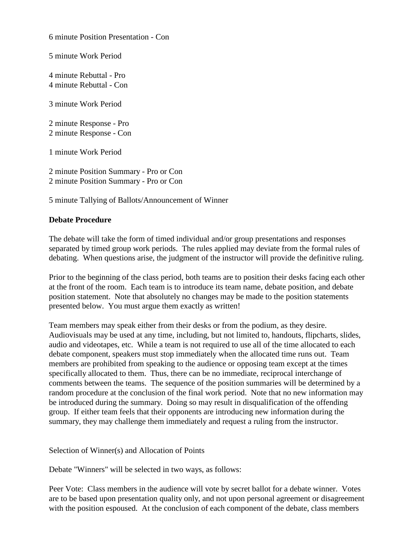6 minute Position Presentation - Con

5 minute Work Period

4 minute Rebuttal - Pro 4 minute Rebuttal - Con

3 minute Work Period

2 minute Response - Pro 2 minute Response - Con

1 minute Work Period

2 minute Position Summary - Pro or Con 2 minute Position Summary - Pro or Con

5 minute Tallying of Ballots/Announcement of Winner

#### **Debate Procedure**

The debate will take the form of timed individual and/or group presentations and responses separated by timed group work periods. The rules applied may deviate from the formal rules of debating. When questions arise, the judgment of the instructor will provide the definitive ruling.

Prior to the beginning of the class period, both teams are to position their desks facing each other at the front of the room. Each team is to introduce its team name, debate position, and debate position statement. Note that absolutely no changes may be made to the position statements presented below. You must argue them exactly as written!

Team members may speak either from their desks or from the podium, as they desire. Audiovisuals may be used at any time, including, but not limited to, handouts, flipcharts, slides, audio and videotapes, etc. While a team is not required to use all of the time allocated to each debate component, speakers must stop immediately when the allocated time runs out. Team members are prohibited from speaking to the audience or opposing team except at the times specifically allocated to them. Thus, there can be no immediate, reciprocal interchange of comments between the teams. The sequence of the position summaries will be determined by a random procedure at the conclusion of the final work period. Note that no new information may be introduced during the summary. Doing so may result in disqualification of the offending group. If either team feels that their opponents are introducing new information during the summary, they may challenge them immediately and request a ruling from the instructor.

Selection of Winner(s) and Allocation of Points

Debate "Winners" will be selected in two ways, as follows:

Peer Vote: Class members in the audience will vote by secret ballot for a debate winner. Votes are to be based upon presentation quality only, and not upon personal agreement or disagreement with the position espoused. At the conclusion of each component of the debate, class members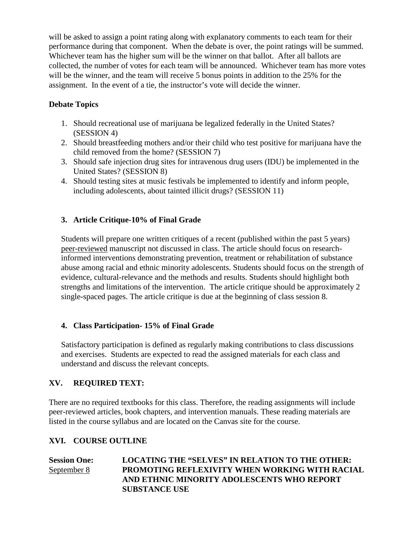will be asked to assign a point rating along with explanatory comments to each team for their performance during that component. When the debate is over, the point ratings will be summed. Whichever team has the higher sum will be the winner on that ballot. After all ballots are collected, the number of votes for each team will be announced. Whichever team has more votes will be the winner, and the team will receive 5 bonus points in addition to the 25% for the assignment. In the event of a tie, the instructor's vote will decide the winner.

# **Debate Topics**

- 1. Should recreational use of marijuana be legalized federally in the United States? (SESSION 4)
- 2. Should breastfeeding mothers and/or their child who test positive for marijuana have the child removed from the home? (SESSION 7)
- 3. Should safe injection drug sites for intravenous drug users (IDU) be implemented in the United States? (SESSION 8)
- 4. Should testing sites at music festivals be implemented to identify and inform people, including adolescents, about tainted illicit drugs? (SESSION 11)

# **3. Article Critique-10% of Final Grade**

Students will prepare one written critiques of a recent (published within the past 5 years) peer-reviewed manuscript not discussed in class. The article should focus on researchinformed interventions demonstrating prevention, treatment or rehabilitation of substance abuse among racial and ethnic minority adolescents. Students should focus on the strength of evidence, cultural-relevance and the methods and results. Students should highlight both strengths and limitations of the intervention. The article critique should be approximately 2 single-spaced pages. The article critique is due at the beginning of class session 8.

## **4. Class Participation- 15% of Final Grade**

Satisfactory participation is defined as regularly making contributions to class discussions and exercises. Students are expected to read the assigned materials for each class and understand and discuss the relevant concepts.

## **XV. REQUIRED TEXT:**

There are no required textbooks for this class. Therefore, the reading assignments will include peer-reviewed articles, book chapters, and intervention manuals. These reading materials are listed in the course syllabus and are located on the Canvas site for the course.

## **XVI. COURSE OUTLINE**

**Session One: LOCATING THE "SELVES" IN RELATION TO THE OTHER:** September 8 **PROMOTING REFLEXIVITY WHEN WORKING WITH RACIAL AND ETHNIC MINORITY ADOLESCENTS WHO REPORT SUBSTANCE USE**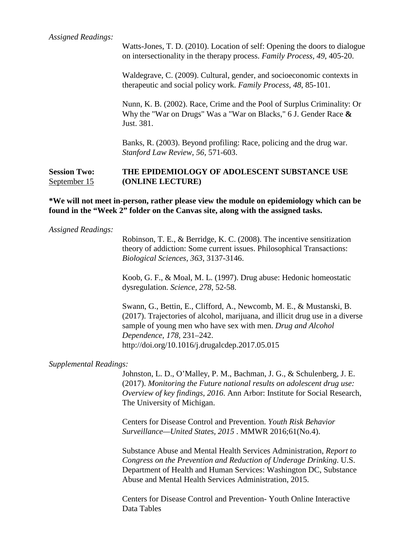Watts-Jones, T. D. (2010). Location of self: Opening the doors to dialogue on intersectionality in the therapy process. *Family Process, 49*, 405-20.

Waldegrave, C. (2009). Cultural, gender, and socioeconomic contexts in therapeutic and social policy work. *Family Process, 48*, 85-101.

Nunn, K. B. (2002). Race, Crime and the Pool of Surplus Criminality: Or Why the "War on Drugs" Was a "War on Blacks," 6 J. Gender Race **&**  Just. 381.

Banks, R. (2003). Beyond profiling: Race, policing and the drug war. *Stanford Law Review*, *56*, 571-603.

### **Session Two: THE EPIDEMIOLOGY OF ADOLESCENT SUBSTANCE USE** September 15 **(ONLINE LECTURE)**

**\*We will not meet in-person, rather please view the module on epidemiology which can be found in the "Week 2" folder on the Canvas site, along with the assigned tasks.**

#### *Assigned Readings:*

Robinson, T. E., & Berridge, K. C. (2008). The incentive sensitization theory of addiction: Some current issues. Philosophical Transactions: *Biological Sciences, 363*, 3137-3146.

Koob, G. F., & Moal, M. L. (1997). Drug abuse: Hedonic homeostatic dysregulation. *Science, 278*, 52-58.

Swann, G., Bettin, E., Clifford, A., Newcomb, M. E., & Mustanski, B. (2017). Trajectories of alcohol, marijuana, and illicit drug use in a diverse sample of young men who have sex with men. *Drug and Alcohol Dependence, 178,* 231–242. http://doi.org/10.1016/j.drugalcdep.2017.05.015

#### *Supplemental Readings:*

Johnston, L. D., O'Malley, P. M., Bachman, J. G., & Schulenberg, J. E. (2017). *Monitoring the Future national results on adolescent drug use: Overview of key findings, 2016*. Ann Arbor: Institute for Social Research, The University of Michigan.

Centers for Disease Control and Prevention. *Youth Risk Behavior Surveillance—United States, 2015* . MMWR 2016;61(No.4).

Substance Abuse and Mental Health Services Administration, *Report to Congress on the Prevention and Reduction of Underage Drinking*. U.S. Department of Health and Human Services: Washington DC, Substance Abuse and Mental Health Services Administration, 2015.

Centers for Disease Control and Prevention- Youth Online Interactive Data Tables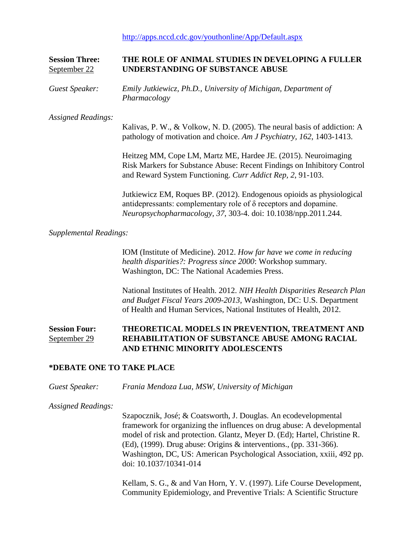<http://apps.nccd.cdc.gov/youthonline/App/Default.aspx>

# **Session Three: THE ROLE OF ANIMAL STUDIES IN DEVELOPING A FULLER**  September 22 **UNDERSTANDING OF SUBSTANCE ABUSE**

*Guest Speaker: Emily Jutkiewicz, Ph.D., University of Michigan, Department of Pharmacology*

*Assigned Readings:*

Kalivas, P. W., & Volkow, N. D. (2005). The neural basis of addiction: A pathology of motivation and choice. *Am J Psychiatry, 162*, 1403-1413.

Heitzeg MM, Cope LM, Martz ME, Hardee JE. (2015). Neuroimaging Risk Markers for Substance Abuse: Recent Findings on Inhibitory Control and Reward System Functioning. *Curr Addict Rep, 2*, 91-103.

Jutkiewicz EM, Roques BP. (2012). Endogenous opioids as physiological antidepressants: complementary role of δ receptors and dopamine. *Neuropsychopharmacology, 37*, 303-4. doi: 10.1038/npp.2011.244.

#### *Supplemental Readings:*

IOM (Institute of Medicine). 2012. *How far have we come in reducing health disparities?: Progress since 2000*: Workshop summary. Washington, DC: The National Academies Press.

National Institutes of Health. 2012. *NIH Health Disparities Research Plan and Budget Fiscal Years 2009-2013*, Washington, DC: U.S. Department of Health and Human Services, National Institutes of Health, 2012.

## **Session Four: THEORETICAL MODELS IN PREVENTION, TREATMENT AND**  September 29 **REHABILITATION OF SUBSTANCE ABUSE AMONG RACIAL AND ETHNIC MINORITY ADOLESCENTS**

### **\*DEBATE ONE TO TAKE PLACE**

*Guest Speaker: Frania Mendoza Lua, MSW, University of Michigan*

*Assigned Readings:*

Szapocznik, José; & Coatsworth, J. Douglas. An ecodevelopmental framework for organizing the influences on drug abuse: A developmental model of risk and protection. Glantz, Meyer D. (Ed); Hartel, Christine R. (Ed), (1999). Drug abuse: Origins & interventions., (pp. 331-366). Washington, DC, US: American Psychological Association, xxiii, 492 pp. doi: 10.1037/10341-014

Kellam, S. G., & and Van Horn, Y. V. (1997). Life Course Development, Community Epidemiology, and Preventive Trials: A Scientific Structure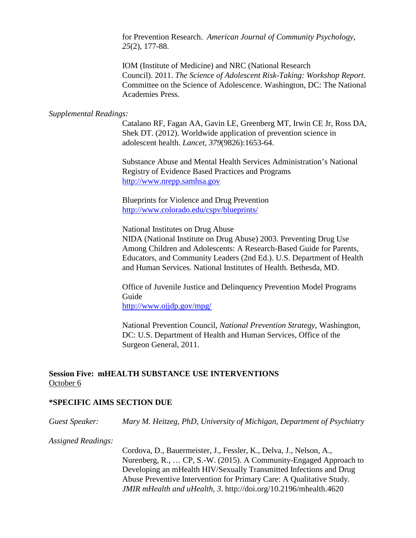for Prevention Research. *American Journal of Community Psychology, 25*(2), 177-88.

IOM (Institute of Medicine) and NRC (National Research Council). 2011. *The Science of Adolescent Risk-Taking: Workshop Report*. Committee on the Science of Adolescence. Washington, DC: The National Academies Press.

#### *Supplemental Readings:*

Catalano RF, Fagan AA, Gavin LE, Greenberg MT, Irwin CE Jr, Ross DA, Shek DT. (2012). Worldwide application of prevention science in adolescent health. *Lancet, 379*(9826):1653-64.

Substance Abuse and Mental Health Services Administration's National Registry of Evidence Based Practices and Programs [http://www.nrepp.samhsa.gov](http://www.nrepp.samhsa.gov/)

Blueprints for Violence and Drug Prevention <http://www.colorado.edu/cspv/blueprints/>

National Institutes on Drug Abuse

NIDA (National Institute on Drug Abuse) 2003. Preventing Drug Use Among Children and Adolescents: A Research-Based Guide for Parents, Educators, and Community Leaders (2nd Ed.). U.S. Department of Health and Human Services. National Institutes of Health. Bethesda, MD.

Office of Juvenile Justice and Delinquency Prevention Model Programs Guide

<http://www.ojjdp.gov/mpg/>

National Prevention Council, *National Prevention Strategy*, Washington, DC: U.S. Department of Health and Human Services, Office of the Surgeon General, 2011.

### **Session Five: mHEALTH SUBSTANCE USE INTERVENTIONS** October 6

#### **\*SPECIFIC AIMS SECTION DUE**

*Guest Speaker: Mary M. Heitzeg, PhD, University of Michigan, Department of Psychiatry*

*Assigned Readings:*

Cordova, D., Bauermeister, J., Fessler, K., Delva, J., Nelson, A., Nurenberg, R., … CP, S.-W. (2015). A Community-Engaged Approach to Developing an mHealth HIV/Sexually Transmitted Infections and Drug Abuse Preventive Intervention for Primary Care: A Qualitative Study. *JMIR mHealth and uHealth*, *3*. http://doi.org/10.2196/mhealth.4620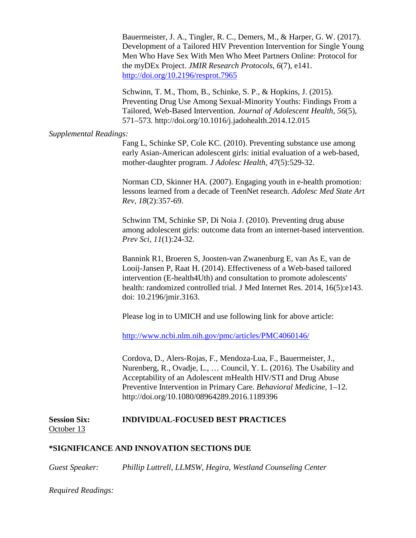Bauermeister, J. A., Tingler, R. C., Demers, M., & Harper, G. W. (2017). Development of a Tailored HIV Prevention Intervention for Single Young Men Who Have Sex With Men Who Meet Partners Online: Protocol for the myDEx Project. *JMIR Research Protocols*, *6*(7), e141. <http://doi.org/10.2196/resprot.7965>

Schwinn, T. M., Thom, B., Schinke, S. P., & Hopkins, J. (2015). Preventing Drug Use Among Sexual-Minority Youths: Findings From a Tailored, Web-Based Intervention. *Journal of Adolescent Health*, *56*(5), 571–573. http://doi.org/10.1016/j.jadohealth.2014.12.015

#### *Supplemental Readings:*

Fang L, Schinke SP, Cole KC. (2010). Preventing substance use among early Asian-American adolescent girls: initial evaluation of a web-based, mother-daughter program. *J Adolesc Health, 47*(5):529-32.

Norman CD, Skinner HA. (2007). Engaging youth in e-health promotion: lessons learned from a decade of TeenNet research. *Adolesc Med State Art Rev, 18*(2):357-69.

Schwinn TM, Schinke SP, Di Noia J. (2010). Preventing drug abuse among adolescent girls: outcome data from an internet-based intervention. *Prev Sci, 11*(1):24-32.

Bannink R1, Broeren S, Joosten-van Zwanenburg E, van As E, van de Looij-Jansen P, Raat H. (2014). Effectiveness of a Web-based tailored intervention (E-health4Uth) and consultation to promote adolescents' health: randomized controlled trial. J Med Internet Res. 2014, 16(5):e143. doi: 10.2196/jmir.3163.

Please log in to UMICH and use following link for above article:

<http://www.ncbi.nlm.nih.gov/pmc/articles/PMC4060146/>

Cordova, D., Alers-Rojas, F., Mendoza-Lua, F., Bauermeister, J., Nurenberg, R., Ovadje, L., … Council, Y. L. (2016). The Usability and Acceptability of an Adolescent mHealth HIV/STI and Drug Abuse Preventive Intervention in Primary Care. *Behavioral Medicine*, 1–12. http://doi.org/10.1080/08964289.2016.1189396

#### **Session Six: INDIVIDUAL-FOCUSED BEST PRACTICES** October 13

### **\*SIGNIFICANCE AND INNOVATION SECTIONS DUE**

*Guest Speaker: Phillip Luttrell, LLMSW, Hegira, Westland Counseling Center*

*Required Readings:*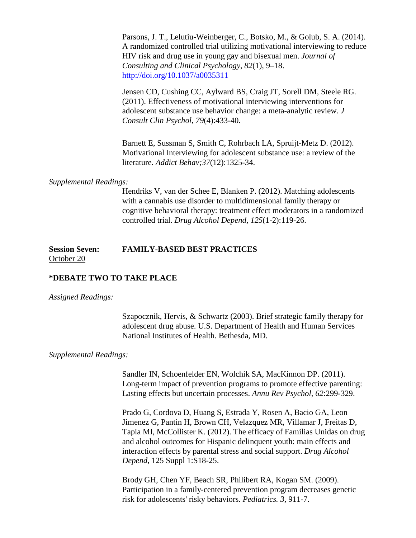Parsons, J. T., Lelutiu-Weinberger, C., Botsko, M., & Golub, S. A. (2014). A randomized controlled trial utilizing motivational interviewing to reduce HIV risk and drug use in young gay and bisexual men. *Journal of Consulting and Clinical Psychology*, *82*(1), 9–18. <http://doi.org/10.1037/a0035311>

Jensen CD, Cushing CC, Aylward BS, Craig JT, Sorell DM, Steele RG. (2011). Effectiveness of motivational interviewing interventions for adolescent substance use behavior change: a meta-analytic review. *J Consult Clin Psychol, 79*(4):433-40.

Barnett E, Sussman S, Smith C, Rohrbach LA, Spruijt-Metz D. (2012). Motivational Interviewing for adolescent substance use: a review of the literature. *Addict Behav;37*(12):1325-34.

#### *Supplemental Readings:*

Hendriks V, van der Schee E, Blanken P. (2012). Matching adolescents with a cannabis use disorder to multidimensional family therapy or cognitive behavioral therapy: treatment effect moderators in a randomized controlled trial. *Drug Alcohol Depend, 125*(1-2):119-26.

#### **Session Seven: FAMILY-BASED BEST PRACTICES** October 20

#### **\*DEBATE TWO TO TAKE PLACE**

#### *Assigned Readings:*

Szapocznik, Hervis, & Schwartz (2003). Brief strategic family therapy for adolescent drug abuse. U.S. Department of Health and Human Services National Institutes of Health. Bethesda, MD.

#### *Supplemental Readings:*

Sandler IN, Schoenfelder EN, Wolchik SA, MacKinnon DP. (2011). Long-term impact of prevention programs to promote effective parenting: Lasting effects but uncertain processes. *Annu Rev Psychol, 62*:299-329.

Prado G, Cordova D, Huang S, Estrada Y, Rosen A, Bacio GA, Leon Jimenez G, Pantin H, Brown CH, Velazquez MR, Villamar J, Freitas D, Tapia MI, McCollister K. (2012). The efficacy of Familias Unidas on drug and alcohol outcomes for Hispanic delinquent youth: main effects and interaction effects by parental stress and social support. *Drug Alcohol Depend*, 125 Suppl 1:S18-25.

Brody GH, Chen YF, Beach SR, Philibert RA, Kogan SM. (2009). Participation in a family-centered prevention program decreases genetic risk for adolescents' risky behaviors. *Pediatrics. 3*, 911-7.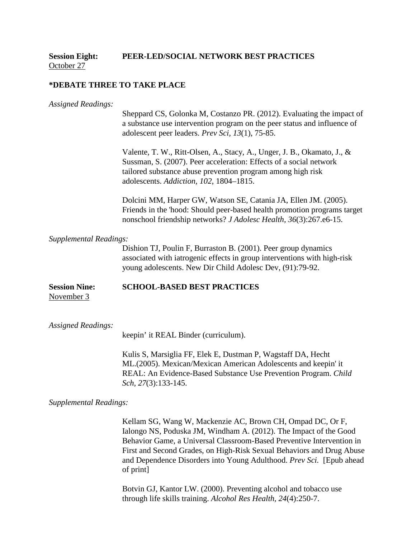#### **Session Eight: PEER-LED/SOCIAL NETWORK BEST PRACTICES** October 27

#### **\*DEBATE THREE TO TAKE PLACE**

| <b>Assigned Readings:</b>          | Sheppard CS, Golonka M, Costanzo PR. (2012). Evaluating the impact of<br>a substance use intervention program on the peer status and influence of<br>adolescent peer leaders. Prev Sci, 13(1), 75-85.                                                   |
|------------------------------------|---------------------------------------------------------------------------------------------------------------------------------------------------------------------------------------------------------------------------------------------------------|
|                                    | Valente, T. W., Ritt-Olsen, A., Stacy, A., Unger, J. B., Okamato, J., &<br>Sussman, S. (2007). Peer acceleration: Effects of a social network<br>tailored substance abuse prevention program among high risk<br>adolescents. Addiction, 102, 1804-1815. |
|                                    | Dolcini MM, Harper GW, Watson SE, Catania JA, Ellen JM. (2005).<br>Friends in the 'hood: Should peer-based health promotion programs target<br>nonschool friendship networks? J Adolesc Health, 36(3):267.e6-15.                                        |
| <b>Supplemental Readings:</b>      |                                                                                                                                                                                                                                                         |
|                                    | Dishion TJ, Poulin F, Burraston B. (2001). Peer group dynamics<br>associated with iatrogenic effects in group interventions with high-risk<br>young adolescents. New Dir Child Adolesc Dev, (91):79-92.                                                 |
| <b>Session Nine:</b><br>November 3 | <b>SCHOOL-BASED BEST PRACTICES</b>                                                                                                                                                                                                                      |
| <b>Assigned Readings:</b>          | keepin' it REAL Binder (curriculum).                                                                                                                                                                                                                    |
|                                    | Vulie C Mercialie EE Elek E Ductmen D Weggteff DA Hook                                                                                                                                                                                                  |

Kulis S, Marsiglia FF, Elek E, Dustman P, Wagstaff DA, Hecht ML.(2005). Mexican/Mexican American Adolescents and keepin' it REAL: An Evidence-Based Substance Use Prevention Program. *Child Sch, 27*(3):133-145.

*Supplemental Readings:*

Kellam SG, Wang W, Mackenzie AC, Brown CH, Ompad DC, Or F, Ialongo NS, Poduska JM, Windham A. (2012). The Impact of the Good Behavior Game, a Universal Classroom-Based Preventive Intervention in First and Second Grades, on High-Risk Sexual Behaviors and Drug Abuse and Dependence Disorders into Young Adulthood. *Prev Sci.* [Epub ahead of print]

Botvin GJ, Kantor LW. (2000). Preventing alcohol and tobacco use through life skills training. *Alcohol Res Health, 24*(4):250-7.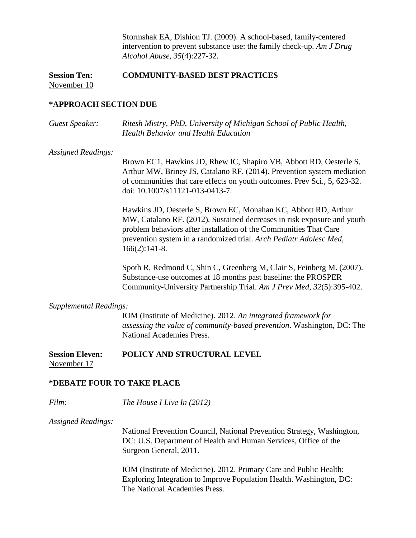Stormshak EA, Dishion TJ. (2009). A school-based, family-centered intervention to prevent substance use: the family check-up. *Am J Drug Alcohol Abuse, 35*(4):227-32.

## **Session Ten: COMMUNITY-BASED BEST PRACTICES** November 10

#### **\*APPROACH SECTION DUE**

*Guest Speaker: Ritesh Mistry, PhD, University of Michigan School of Public Health, Health Behavior and Health Education*

#### *Assigned Readings:*

Brown EC1, Hawkins JD, Rhew IC, Shapiro VB, Abbott RD, Oesterle S, Arthur MW, Briney JS, Catalano RF. (2014). Prevention system mediation of communities that care effects on youth outcomes. Prev Sci., 5, 623-32. doi: 10.1007/s11121-013-0413-7.

Hawkins JD, Oesterle S, Brown EC, Monahan KC, Abbott RD, Arthur MW, Catalano RF. (2012). Sustained decreases in risk exposure and youth problem behaviors after installation of the Communities That Care prevention system in a randomized trial. *Arch Pediatr Adolesc Med,*  166(2):141-8.

Spoth R, Redmond C, Shin C, Greenberg M, Clair S, Feinberg M. (2007). Substance-use outcomes at 18 months past baseline: the PROSPER Community-University Partnership Trial. *Am J Prev Med*, *32*(5):395-402.

#### *Supplemental Readings:*

IOM (Institute of Medicine). 2012. *An integrated framework for assessing the value of community-based prevention*. Washington, DC: The National Academies Press.

#### **Session Eleven: POLICY AND STRUCTURAL LEVEL**  November 17

### **\*DEBATE FOUR TO TAKE PLACE**

*Film: The House I Live In (2012)*

*Assigned Readings:*

National Prevention Council, National Prevention Strategy, Washington, DC: U.S. Department of Health and Human Services, Office of the Surgeon General, 2011.

IOM (Institute of Medicine). 2012. Primary Care and Public Health: Exploring Integration to Improve Population Health. Washington, DC: The National Academies Press.